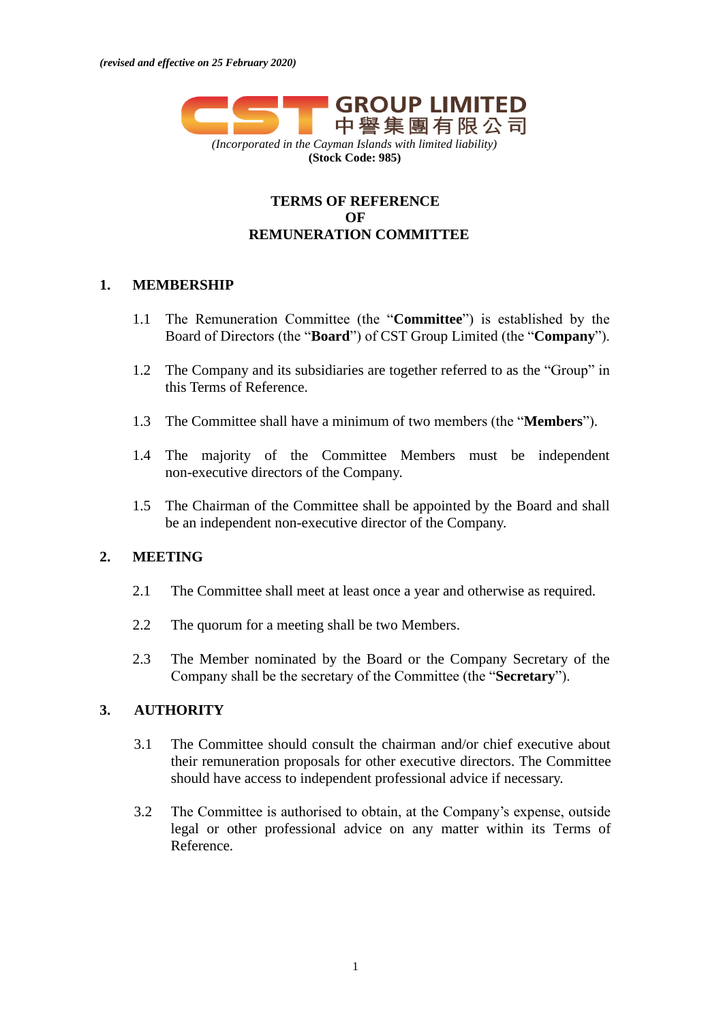

## **TERMS OF REFERENCE OF REMUNERATION COMMITTEE**

#### **1. MEMBERSHIP**

- 1.1 The Remuneration Committee (the "**Committee**") is established by the Board of Directors (the "**Board**") of CST Group Limited (the "**Company**").
- 1.2 The Company and its subsidiaries are together referred to as the "Group" in this Terms of Reference.
- 1.3 The Committee shall have a minimum of two members (the "**Members**").
- 1.4 The majority of the Committee Members must be independent non-executive directors of the Company.
- 1.5 The Chairman of the Committee shall be appointed by the Board and shall be an independent non-executive director of the Company.

### **2. MEETING**

- 2.1 The Committee shall meet at least once a year and otherwise as required.
- 2.2 The quorum for a meeting shall be two Members.
- 2.3 The Member nominated by the Board or the Company Secretary of the Company shall be the secretary of the Committee (the "**Secretary**").

# **3. AUTHORITY**

- 3.1 The Committee should consult the chairman and/or chief executive about their remuneration proposals for other executive directors. The Committee should have access to independent professional advice if necessary.
- 3.2 The Committee is authorised to obtain, at the Company's expense, outside legal or other professional advice on any matter within its Terms of Reference.